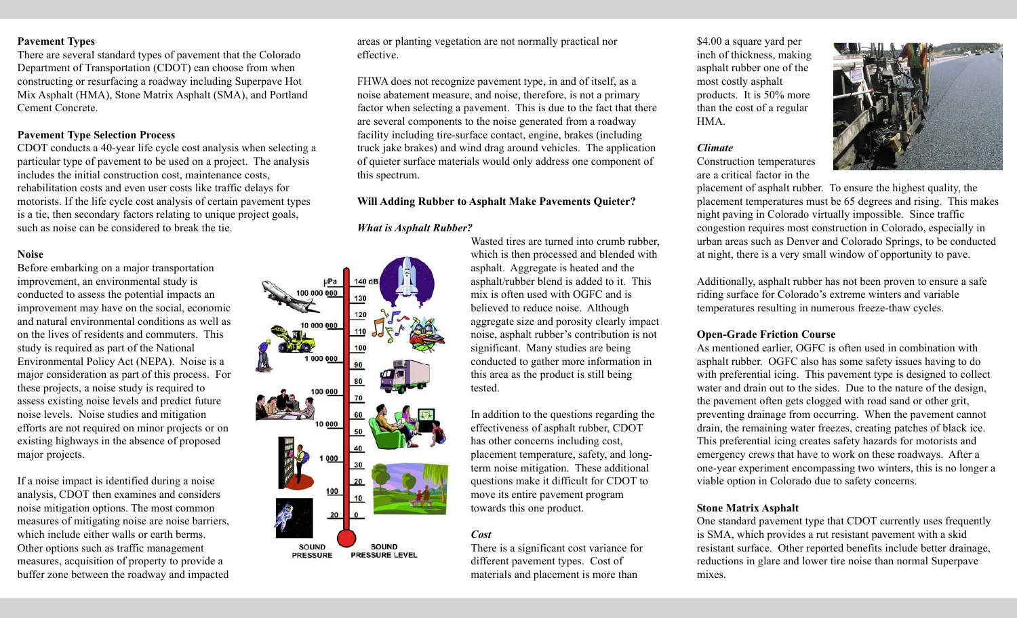## **Pavement Types**

There are several standard types of pavement that the Colorado Department of Transportation (CDOT) can choose from when constructing or resurfacing a roadway including Superpave Hot Mix Asphalt (HMA), Stone Matrix Asphalt (SMA), and Portland Cement Concrete.

# **Pavement Type Selection Process**

CDOT conducts a 40-year life cycle cost analysis when selecting a particular type of pavement to be used on a project. The analysis includes the initial construction cost, maintenance costs, rehabilitation costs and even user costs like traffic delays for motorists. If the life cycle cost analysis of certain pavement types is a tie, then secondary factors relating to unique project goals, such as noise can be considered to break the tie.

# **Noise**

Before embarking on a major transportation improvement, an environmental study is conducted to assess the potential impacts an improvement may have on the social, economic and natural environmental conditions as well as on the lives of residents and commuters. This study is required as part of the National Environmental Policy Act (NEPA). Noise is a major consideration as part of this process. For these projects, a noise study is required to assess existing noise levels and predict future noise levels. Noise studies and mitigation efforts are not required on minor projects or on existing highways in the absence of proposed major projects.

If a noise impact is identified during a noise analysis, CDOT then examines and considers noise mitigation options. The most common measures of mitigating noise are noise barriers, which include either walls or earth berms. Other options such as traffic management measures, acquisition of property to provide a buffer zone between the roadway and impacted areas or planting vegetation are not normally practical nor effective.

FHWA does not recognize pavement type, in and of itself, as a noise abatement measure, and noise, therefore, is not a primary factor when selecting a pavement. This is due to the fact that there are several components to the noise generated from a roadway facility including tire-surface contact, engine, brakes (including truck jake brakes) and wind drag around vehicles. The application of quieter surface materials would only address one component of this spectrum.

## **Will Adding Rubber to Asphalt Make Pavements Quieter?**

## *What is Asphalt Rubber?*

0000 000 100 20 **SOUND SOUND** PRESSURE LEVEL **PRESSURE** 

Wasted tires are turned into crumb rubber, which is then processed and blended with asphalt. Aggregate is heated and the asphalt/rubber blend is added to it. This mix is often used with OGFC and is believed to reduce noise. Although aggregate size and porosity clearly impact noise, asphalt rubber's contribution is not significant. Many studies are being conducted to gather more information in this area as the product is still being tested.

In addition to the questions regarding the effectiveness of asphalt rubber, CDOT has other concerns including cost, placement temperature, safety, and longterm noise mitigation. These additional questions make it difficult for CDOT to move its entire pavement program towards this one product.

## *Cost*

There is a significant cost variance for different pavement types. Cost of materials and placement is more than

\$4.00 a square yard per inch of thickness, making asphalt rubber one of the most costly asphalt products. It is 50% more than the cost of a regular HMA.

#### *Climate*

Construction temperatures are a critical factor in the



placement of asphalt rubber. To ensure the highest quality, the placement temperatures must be 65 degrees and rising. This makes night paving in Colorado virtually impossible. Since traffic congestion requires most construction in Colorado, especially in urban areas such as Denver and Colorado Springs, to be conducted at night, there is a very small window of opportunity to pave.

Additionally, asphalt rubber has not been proven to ensure a safe riding surface for Colorado's extreme winters and variable temperatures resulting in numerous freeze-thaw cycles.

#### **Open-Grade Friction Course**

As mentioned earlier, OGFC is often used in combination with asphalt rubber. OGFC also has some safety issues having to do with preferential icing. This pavement type is designed to collect water and drain out to the sides. Due to the nature of the design, the pavement often gets clogged with road sand or other grit, preventing drainage from occurring. When the pavement cannot drain, the remaining water freezes, creating patches of black ice. This preferential icing creates safety hazards for motorists and emergency crews that have to work on these roadways. After a one-year experiment encompassing two winters, this is no longer a viable option in Colorado due to safety concerns.

## **Stone Matrix Asphalt**

One standard pavement type that CDOT currently uses frequently is SMA, which provides a rut resistant pavement with a skid resistant surface. Other reported benefits include better drainage, reductions in glare and lower tire noise than normal Superpave mixes.